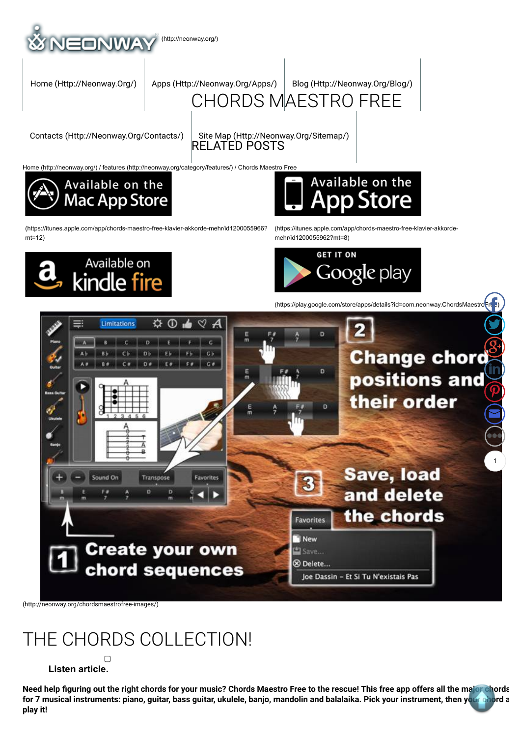

(https://itunes.apple.com/app/chords-maestro-free-klavier-akkorde-mehr/id1200055966? mt=12)



(https://itunes.apple.com/app/chords-maestro-free-klavier-akkordemehr/id1200055962?mt=8)



(https://play.google.com/store/apps/details?id=com.neonway.ChordsMaestro

 $\mathbf{F}$ 



(http://neonway.org/chordsmaestrofree-images/)

# THE CHORDS COLLECTION!

#### $\Box$  **Listen article.**

Need help figuring out the right chords for your music? Chords Maestro Free to the rescue! This free app offers all the major chords for 7 musical instruments: piano, guitar, bass guitar, ukulele, banjo, mandolin and balalaika. Pick your instrument, then your chord a **play it!**